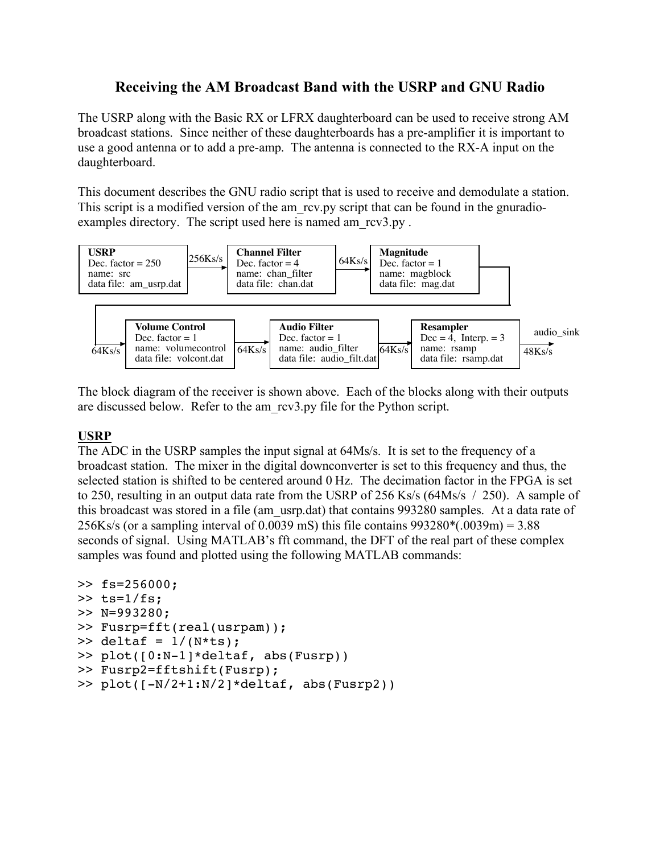# **Receiving the AM Broadcast Band with the USRP and GNU Radio**

The USRP along with the Basic RX or LFRX daughterboard can be used to receive strong AM broadcast stations. Since neither of these daughterboards has a pre-amplifier it is important to use a good antenna or to add a pre-amp. The antenna is connected to the RX-A input on the daughterboard.

This document describes the GNU radio script that is used to receive and demodulate a station. This script is a modified version of the am rcv.py script that can be found in the gnuradioexamples directory. The script used here is named am\_rcv3.py.



The block diagram of the receiver is shown above. Each of the blocks along with their outputs are discussed below. Refer to the am\_rcv3.py file for the Python script.

### **USRP**

The ADC in the USRP samples the input signal at 64Ms/s. It is set to the frequency of a broadcast station. The mixer in the digital downconverter is set to this frequency and thus, the selected station is shifted to be centered around 0 Hz. The decimation factor in the FPGA is set to 250, resulting in an output data rate from the USRP of 256 Ks/s (64Ms/s / 250). A sample of this broadcast was stored in a file (am\_usrp.dat) that contains 993280 samples. At a data rate of 256Ks/s (or a sampling interval of 0.0039 mS) this file contains 993280\*(.0039m) = 3.88 seconds of signal. Using MATLAB's fft command, the DFT of the real part of these complex samples was found and plotted using the following MATLAB commands:

```
>> fs=256000;
\gg ts=1/fs;
>> N=993280;
>> Fusrp=fft(real(usrpam));
\gg deltaf = 1/(N*ts);
>> plot([0:N-1]*deltaf, abs(Fusrp))
>> Fusrp2=fftshift(Fusrp);
>> plot([-N/2+1:N/2]*deltaf, abs(Fusrp2))
```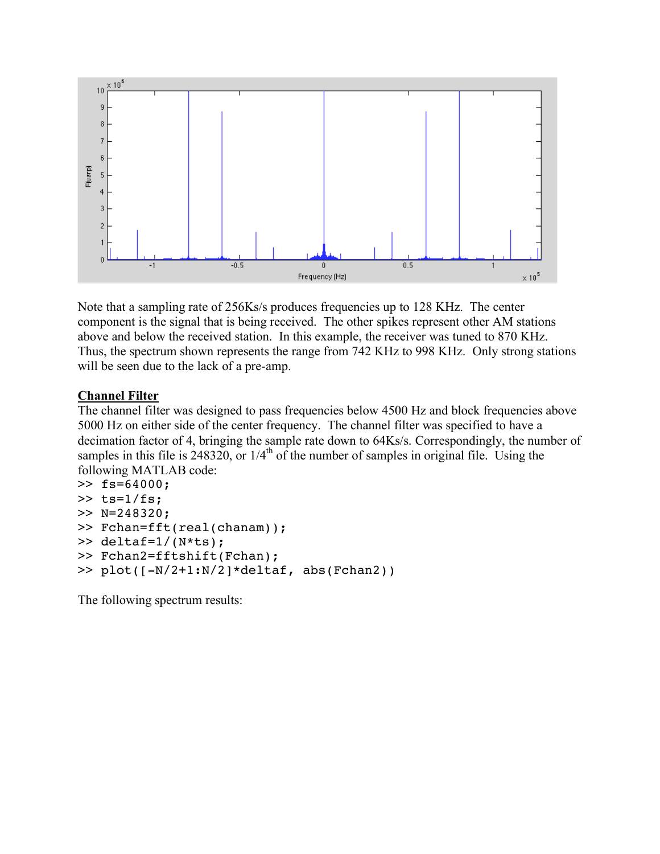

Note that a sampling rate of 256Ks/s produces frequencies up to 128 KHz. The center component is the signal that is being received. The other spikes represent other AM stations above and below the received station. In this example, the receiver was tuned to 870 KHz. Thus, the spectrum shown represents the range from 742 KHz to 998 KHz. Only strong stations will be seen due to the lack of a pre-amp.

#### **Channel Filter**

The channel filter was designed to pass frequencies below 4500 Hz and block frequencies above 5000 Hz on either side of the center frequency. The channel filter was specified to have a decimation factor of 4, bringing the sample rate down to 64Ks/s. Correspondingly, the number of samples in this file is  $248320$ , or  $1/4<sup>th</sup>$  of the number of samples in original file. Using the following MATLAB code:

```
>> fs=64000;
\gg ts=1/fs;
>> N=248320;
>> Fchan=fft(real(chanam));
\gg deltaf=1/(N*ts);
>> Fchan2=fftshift(Fchan);
>> plot([-N/2+1:N/2]*deltaf, abs(Fchan2))
```
The following spectrum results: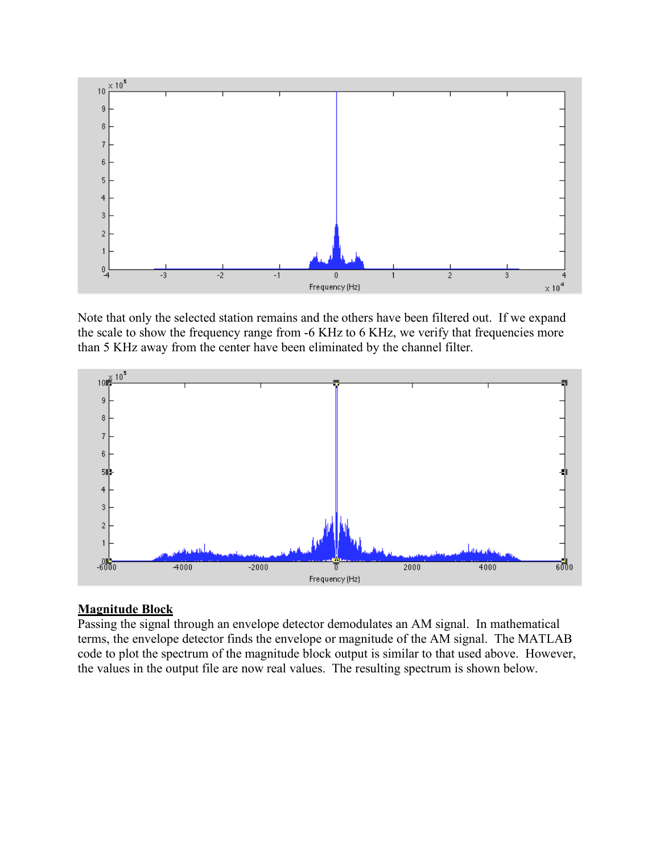

Note that only the selected station remains and the others have been filtered out. If we expand the scale to show the frequency range from -6 KHz to 6 KHz, we verify that frequencies more than 5 KHz away from the center have been eliminated by the channel filter.



### **Magnitude Block**

Passing the signal through an envelope detector demodulates an AM signal. In mathematical terms, the envelope detector finds the envelope or magnitude of the AM signal. The MATLAB code to plot the spectrum of the magnitude block output is similar to that used above. However, the values in the output file are now real values. The resulting spectrum is shown below.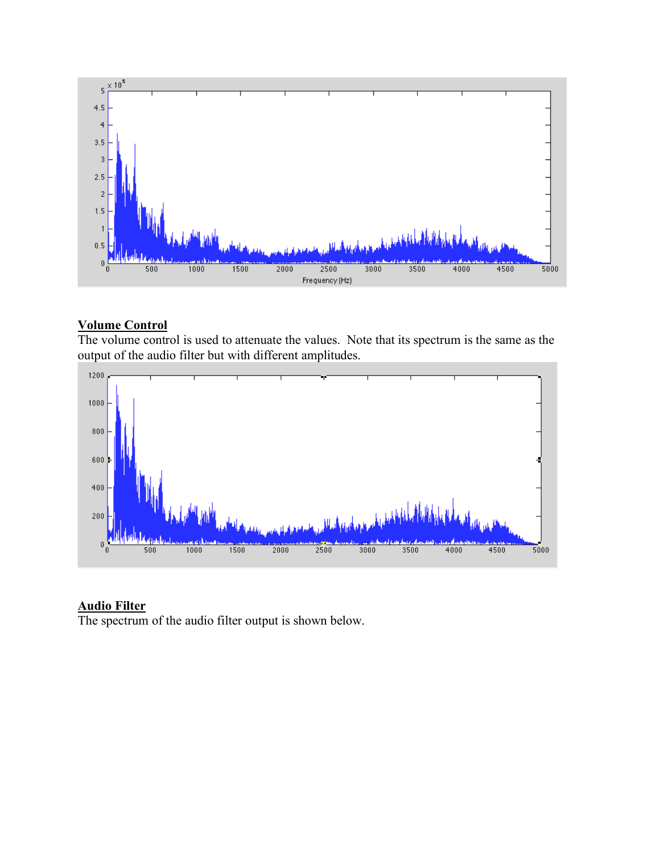

### **Volume Control**

The volume control is used to attenuate the values. Note that its spectrum is the same as the output of the audio filter but with different amplitudes.



### **Audio Filter**

The spectrum of the audio filter output is shown below.